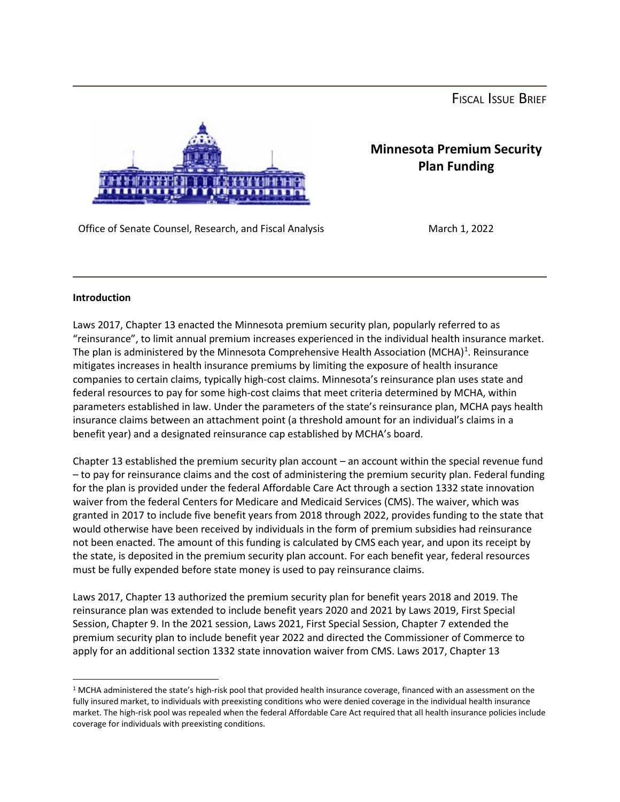FISCAL ISSUE BRIEF



## **Minnesota Premium Security Plan Funding**

Office of Senate Counsel, Research, and Fiscal Analysis March 1, 2022

## **Introduction**

Laws 2017, Chapter 13 enacted the Minnesota premium security plan, popularly referred to as "reinsurance", to limit annual premium increases experienced in the individual health insurance market. The plan is administered by the Minnesota Comprehensive Health Association (MCHA)<sup>[1](#page-0-0)</sup>. Reinsurance mitigates increases in health insurance premiums by limiting the exposure of health insurance companies to certain claims, typically high-cost claims. Minnesota's reinsurance plan uses state and federal resources to pay for some high-cost claims that meet criteria determined by MCHA, within parameters established in law. Under the parameters of the state's reinsurance plan, MCHA pays health insurance claims between an attachment point (a threshold amount for an individual's claims in a benefit year) and a designated reinsurance cap established by MCHA's board.

Chapter 13 established the premium security plan account – an account within the special revenue fund – to pay for reinsurance claims and the cost of administering the premium security plan. Federal funding for the plan is provided under the federal Affordable Care Act through a section 1332 state innovation waiver from the federal Centers for Medicare and Medicaid Services (CMS). The waiver, which was granted in 2017 to include five benefit years from 2018 through 2022, provides funding to the state that would otherwise have been received by individuals in the form of premium subsidies had reinsurance not been enacted. The amount of this funding is calculated by CMS each year, and upon its receipt by the state, is deposited in the premium security plan account. For each benefit year, federal resources must be fully expended before state money is used to pay reinsurance claims.

Laws 2017, Chapter 13 authorized the premium security plan for benefit years 2018 and 2019. The reinsurance plan was extended to include benefit years 2020 and 2021 by Laws 2019, First Special Session, Chapter 9. In the 2021 session, Laws 2021, First Special Session, Chapter 7 extended the premium security plan to include benefit year 2022 and directed the Commissioner of Commerce to apply for an additional section 1332 state innovation waiver from CMS. Laws 2017, Chapter 13

<span id="page-0-0"></span><sup>&</sup>lt;sup>1</sup> MCHA administered the state's high-risk pool that provided health insurance coverage, financed with an assessment on the fully insured market, to individuals with preexisting conditions who were denied coverage in the individual health insurance market. The high-risk pool was repealed when the federal Affordable Care Act required that all health insurance policies include coverage for individuals with preexisting conditions.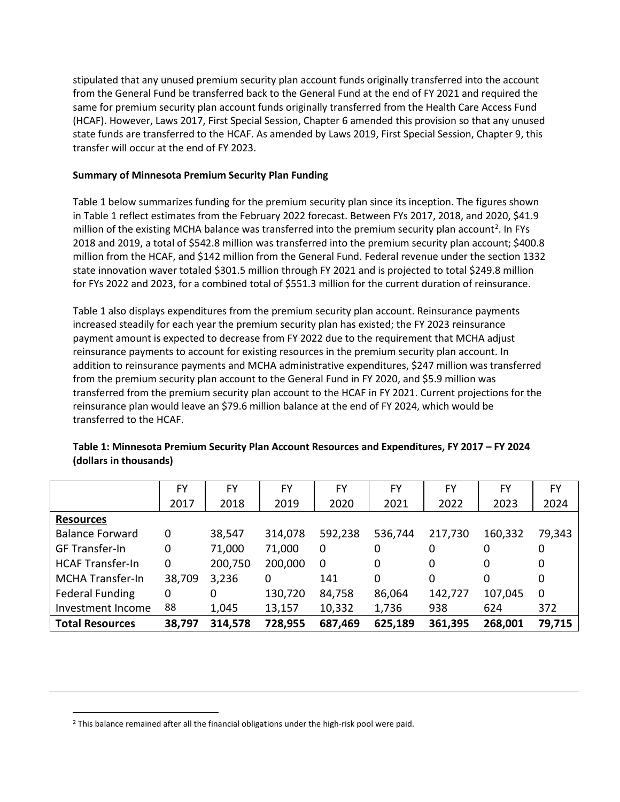stipulated that any unused premium security plan account funds originally transferred into the account from the General Fund be transferred back to the General Fund at the end of FY 2021 and required the same for premium security plan account funds originally transferred from the Health Care Access Fund (HCAF). However, Laws 2017, First Special Session, Chapter 6 amended this provision so that any unused state funds are transferred to the HCAF. As amended by Laws 2019, First Special Session, Chapter 9, this transfer will occur at the end of FY 2023.

## **Summary of Minnesota Premium Security Plan Funding**

Table 1 below summarizes funding for the premium security plan since its inception. The figures shown in Table 1 reflect estimates from the February 2022 forecast. Between FYs 2017, 2018, and 2020, \$41.9 million of the existing MCHA balance was transferred into the premium security plan account<sup>[2](#page-1-0)</sup>. In FYs 2018 and 2019, a total of \$542.8 million was transferred into the premium security plan account; \$400.8 million from the HCAF, and \$142 million from the General Fund. Federal revenue under the section 1332 state innovation waver totaled \$301.5 million through FY 2021 and is projected to total \$249.8 million for FYs 2022 and 2023, for a combined total of \$551.3 million for the current duration of reinsurance.

Table 1 also displays expenditures from the premium security plan account. Reinsurance payments increased steadily for each year the premium security plan has existed; the FY 2023 reinsurance payment amount is expected to decrease from FY 2022 due to the requirement that MCHA adjust reinsurance payments to account for existing resources in the premium security plan account. In addition to reinsurance payments and MCHA administrative expenditures, \$247 million was transferred from the premium security plan account to the General Fund in FY 2020, and \$5.9 million was transferred from the premium security plan account to the HCAF in FY 2021. Current projections for the reinsurance plan would leave an \$79.6 million balance at the end of FY 2024, which would be transferred to the HCAF.

|                         | FY     | FY      | FY      | FY      | FY      | FY      | FY      | FY           |
|-------------------------|--------|---------|---------|---------|---------|---------|---------|--------------|
|                         | 2017   | 2018    | 2019    | 2020    | 2021    | 2022    | 2023    | 2024         |
| <b>Resources</b>        |        |         |         |         |         |         |         |              |
| <b>Balance Forward</b>  | 0      | 38,547  | 314,078 | 592,238 | 536,744 | 217,730 | 160,332 | 79,343       |
| <b>GF Transfer-In</b>   | 0      | 71,000  | 71,000  | 0       | 0       | 0       | 0       | 0            |
| <b>HCAF Transfer-In</b> | 0      | 200,750 | 200,000 | 0       | 0       | 0       | 0       | 0            |
| <b>MCHA Transfer-In</b> | 38,709 | 3,236   | 0       | 141     | 0       | 0       | 0       | 0            |
| <b>Federal Funding</b>  | 0      | 0       | 130,720 | 84,758  | 86,064  | 142,727 | 107,045 | $\mathbf{0}$ |
| Investment Income       | 88     | 1,045   | 13,157  | 10,332  | 1,736   | 938     | 624     | 372          |
| <b>Total Resources</b>  | 38,797 | 314,578 | 728,955 | 687,469 | 625,189 | 361,395 | 268,001 | 79,715       |

**Table 1: Minnesota Premium Security Plan Account Resources and Expenditures, FY 2017 – FY 2024 (dollars in thousands)**

<span id="page-1-0"></span><sup>2</sup> This balance remained after all the financial obligations under the high-risk pool were paid.